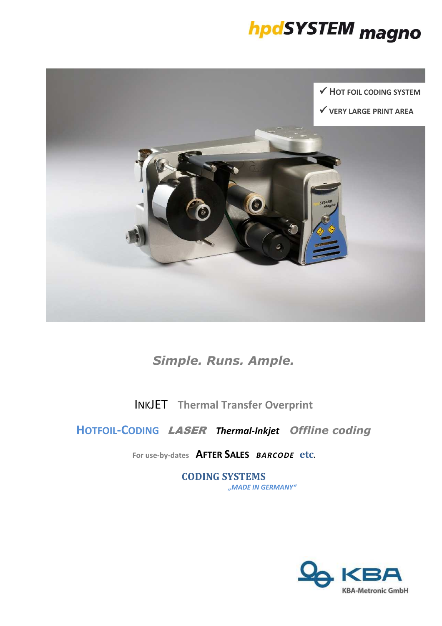



# *Simple. Runs. Ample.*

INKJET **Thermal Transfer Overprint**

**HOTFOIL-CODING** LASER *Thermal-Inkjet**Offline coding*

**For use-by-dates AFTER SALES** *BARCODE* **etc.** 

**CODING SYSTEMS** *"MADE IN GERMANY"*